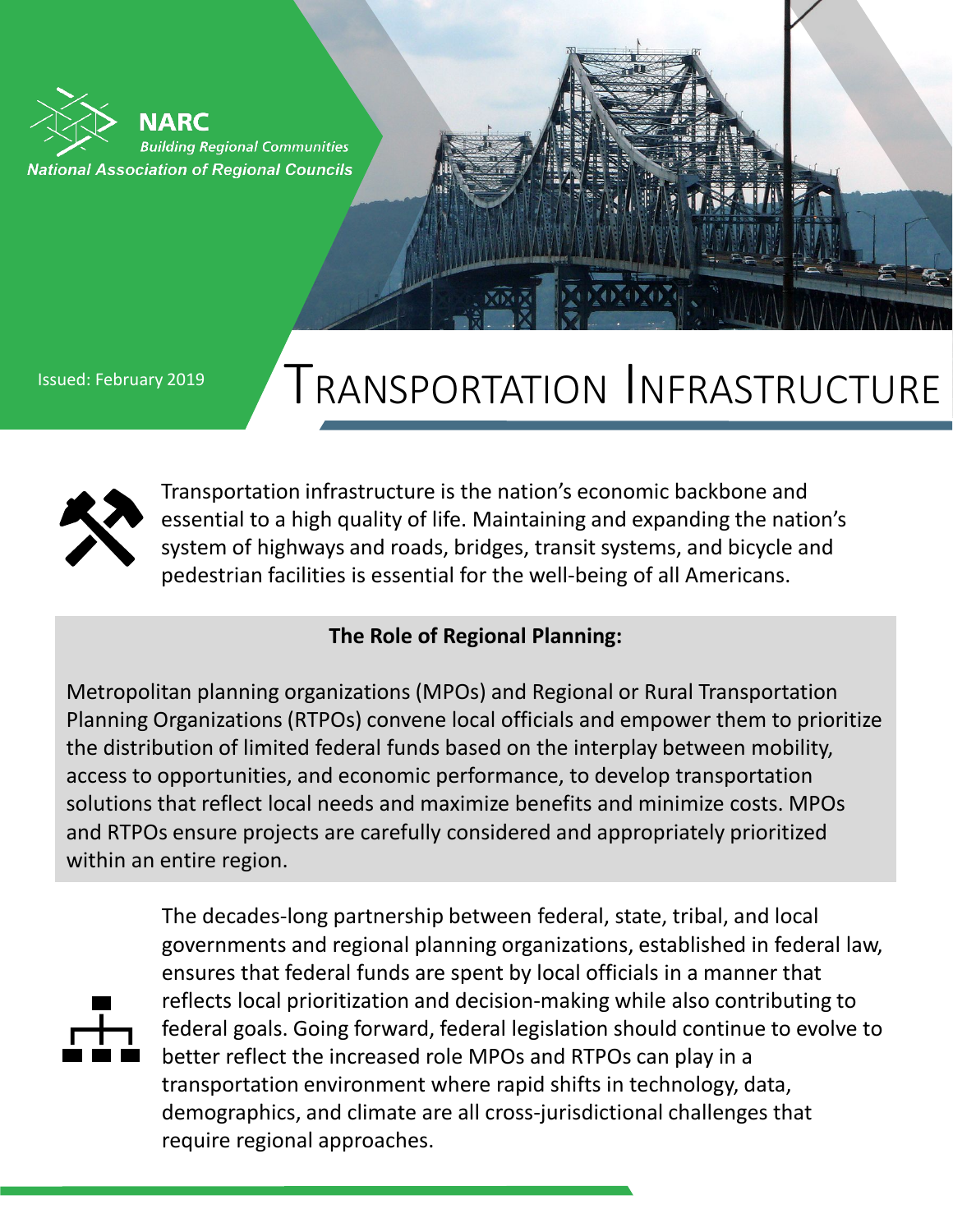NARC **Building Regional Communities National Association of Regional Councils** 

## Issued: February 2019 **TRANSPORTATION INFRASTRUCTURE**



Transportation infrastructure is the nation's economic backbone and essential to a high quality of life. Maintaining and expanding the nation's system of highways and roads, bridges, transit systems, and bicycle and pedestrian facilities is essential for the well-being of all Americans.

## **The Role of Regional Planning:**

Metropolitan planning organizations (MPOs) and Regional or Rural Transportation Planning Organizations (RTPOs) convene local officials and empower them to prioritize the distribution of limited federal funds based on the interplay between mobility, access to opportunities, and economic performance, to develop transportation solutions that reflect local needs and maximize benefits and minimize costs. MPOs and RTPOs ensure projects are carefully considered and appropriately prioritized within an entire region.



The decades-long partnership between federal, state, tribal, and local governments and regional planning organizations, established in federal law, ensures that federal funds are spent by local officials in a manner that reflects local prioritization and decision-making while also contributing to federal goals. Going forward, federal legislation should continue to evolve to better reflect the increased role MPOs and RTPOs can play in a transportation environment where rapid shifts in technology, data, demographics, and climate are all cross-jurisdictional challenges that require regional approaches.